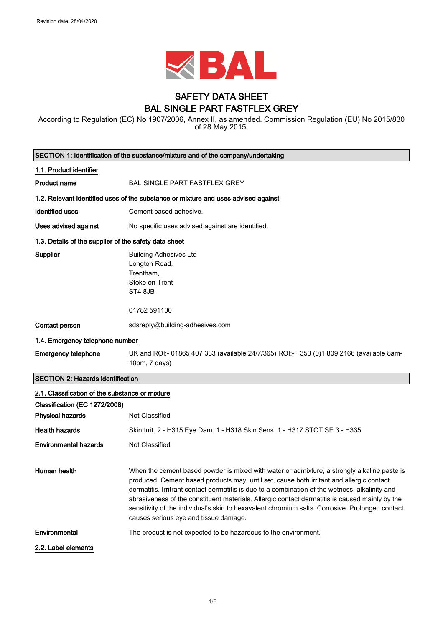

# SAFETY DATA SHEET BAL SINGLE PART FASTFLEX GREY

According to Regulation (EC) No 1907/2006, Annex II, as amended. Commission Regulation (EU) No 2015/830 of 28 May 2015.

|                                                       | SECTION 1: Identification of the substance/mixture and of the company/undertaking                                                                                                                                                                                                                                                                                                                                                                                                                                                        |
|-------------------------------------------------------|------------------------------------------------------------------------------------------------------------------------------------------------------------------------------------------------------------------------------------------------------------------------------------------------------------------------------------------------------------------------------------------------------------------------------------------------------------------------------------------------------------------------------------------|
| 1.1. Product identifier                               |                                                                                                                                                                                                                                                                                                                                                                                                                                                                                                                                          |
| <b>Product name</b>                                   | BAL SINGLE PART FASTFLEX GREY                                                                                                                                                                                                                                                                                                                                                                                                                                                                                                            |
|                                                       | 1.2. Relevant identified uses of the substance or mixture and uses advised against                                                                                                                                                                                                                                                                                                                                                                                                                                                       |
| <b>Identified uses</b>                                | Cement based adhesive.                                                                                                                                                                                                                                                                                                                                                                                                                                                                                                                   |
| <b>Uses advised against</b>                           | No specific uses advised against are identified.                                                                                                                                                                                                                                                                                                                                                                                                                                                                                         |
| 1.3. Details of the supplier of the safety data sheet |                                                                                                                                                                                                                                                                                                                                                                                                                                                                                                                                          |
| <b>Supplier</b>                                       | <b>Building Adhesives Ltd</b><br>Longton Road,<br>Trentham,<br>Stoke on Trent<br>ST4 8JB<br>01782 591100                                                                                                                                                                                                                                                                                                                                                                                                                                 |
| Contact person                                        | sdsreply@building-adhesives.com                                                                                                                                                                                                                                                                                                                                                                                                                                                                                                          |
| 1.4. Emergency telephone number                       |                                                                                                                                                                                                                                                                                                                                                                                                                                                                                                                                          |
| <b>Emergency telephone</b>                            | UK and ROI:- 01865 407 333 (available 24/7/365) ROI:- +353 (0)1 809 2166 (available 8am-<br>10pm, 7 days)                                                                                                                                                                                                                                                                                                                                                                                                                                |
| <b>SECTION 2: Hazards identification</b>              |                                                                                                                                                                                                                                                                                                                                                                                                                                                                                                                                          |
| 2.1. Classification of the substance or mixture       |                                                                                                                                                                                                                                                                                                                                                                                                                                                                                                                                          |
| Classification (EC 1272/2008)                         |                                                                                                                                                                                                                                                                                                                                                                                                                                                                                                                                          |
| <b>Physical hazards</b>                               | Not Classified                                                                                                                                                                                                                                                                                                                                                                                                                                                                                                                           |
| <b>Health hazards</b>                                 | Skin Irrit. 2 - H315 Eye Dam. 1 - H318 Skin Sens. 1 - H317 STOT SE 3 - H335                                                                                                                                                                                                                                                                                                                                                                                                                                                              |
| <b>Environmental hazards</b>                          | Not Classified                                                                                                                                                                                                                                                                                                                                                                                                                                                                                                                           |
| Human health                                          | When the cement based powder is mixed with water or admixture, a strongly alkaline paste is<br>produced. Cement based products may, until set, cause both irritant and allergic contact<br>dermatitis. Irritrant contact dermatitis is due to a combination of the wetness, alkalinity and<br>abrasiveness of the constituent materials. Allergic contact dermatitis is caused mainly by the<br>sensitivity of the individual's skin to hexavalent chromium salts. Corrosive. Prolonged contact<br>causes serious eye and tissue damage. |
| Environmental                                         | The product is not expected to be hazardous to the environment.                                                                                                                                                                                                                                                                                                                                                                                                                                                                          |
| 2.2. Label elements                                   |                                                                                                                                                                                                                                                                                                                                                                                                                                                                                                                                          |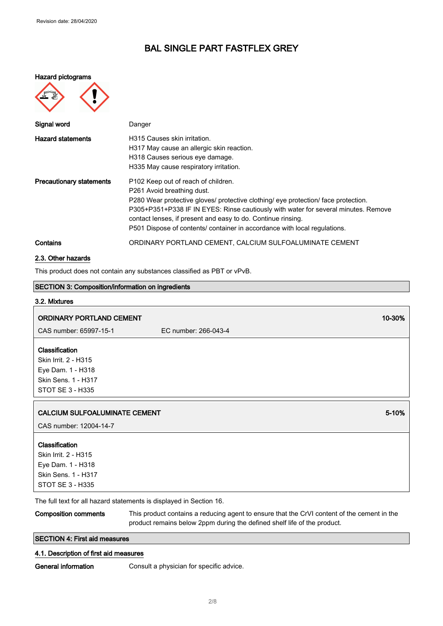#### Hazard pictograms



| Signal word                     | Danger                                                                                                                                                                                                                                                                                                                                                                                     |
|---------------------------------|--------------------------------------------------------------------------------------------------------------------------------------------------------------------------------------------------------------------------------------------------------------------------------------------------------------------------------------------------------------------------------------------|
| <b>Hazard statements</b>        | H315 Causes skin irritation.<br>H317 May cause an allergic skin reaction.<br>H318 Causes serious eye damage.<br>H335 May cause respiratory irritation.                                                                                                                                                                                                                                     |
| <b>Precautionary statements</b> | P102 Keep out of reach of children.<br>P261 Avoid breathing dust.<br>P280 Wear protective gloves/ protective clothing/ eye protection/ face protection.<br>P305+P351+P338 IF IN EYES: Rinse cautiously with water for several minutes. Remove<br>contact lenses, if present and easy to do. Continue rinsing.<br>P501 Dispose of contents/ container in accordance with local regulations. |
| Contains                        | ORDINARY PORTLAND CEMENT, CALCIUM SULFOALUMINATE CEMENT                                                                                                                                                                                                                                                                                                                                    |

### 2.3. Other hazards

This product does not contain any substances classified as PBT or vPvB.

# SECTION 3: Composition/information on ingredients

# 3.2. Mixtures ORDINARY PORTLAND CEMENT 10-30% (200 M) and 200 M) and 200 M (200 M) and 200 M) and 200 M) and 200 M) and 200 M CAS number: 65997-15-1 EC number: 266-043-4 Classification Skin Irrit. 2 - H315 Eye Dam. 1 - H318 Skin Sens. 1 - H317 STOT SE 3 - H335 **CALCIUM SULFOALUMINATE CEMENT** 6-10% **SECULAR SECULAR SECULAR SECULAR SECULAR SECULAR SECULAR SECULAR SECULAR SECULAR SECULAR SECULAR SECULAR SECULAR SECULAR SECULAR SECULAR SECULAR SECULAR SECULAR SECULAR SECULAR SECULAR** CAS number: 12004-14-7 Classification Skin Irrit. 2 - H315 Eye Dam. 1 - H318 Skin Sens. 1 - H317 STOT SE 3 - H335

The full text for all hazard statements is displayed in Section 16.

Composition comments This product contains a reducing agent to ensure that the CrVI content of the cement in the product remains below 2ppm during the defined shelf life of the product.

### SECTION 4: First aid measures

### 4.1. Description of first aid measures

General information **Consult a physician for specific advice.**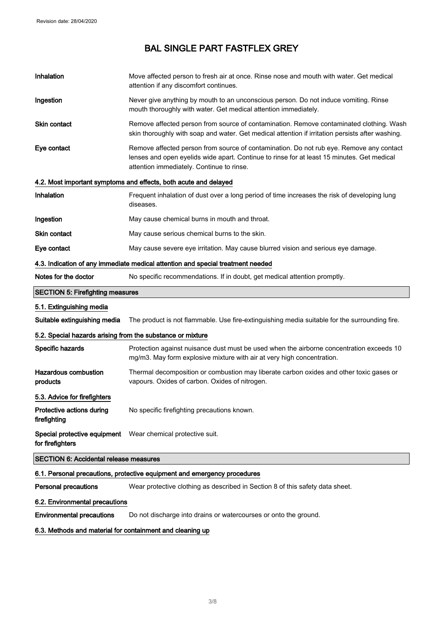| Inhalation                                                                       | Move affected person to fresh air at once. Rinse nose and mouth with water. Get medical<br>attention if any discomfort continues.                                                                                                  |  |
|----------------------------------------------------------------------------------|------------------------------------------------------------------------------------------------------------------------------------------------------------------------------------------------------------------------------------|--|
| Ingestion                                                                        | Never give anything by mouth to an unconscious person. Do not induce vomiting. Rinse<br>mouth thoroughly with water. Get medical attention immediately.                                                                            |  |
| Skin contact                                                                     | Remove affected person from source of contamination. Remove contaminated clothing. Wash<br>skin thoroughly with soap and water. Get medical attention if irritation persists after washing.                                        |  |
| Eye contact                                                                      | Remove affected person from source of contamination. Do not rub eye. Remove any contact<br>lenses and open eyelids wide apart. Continue to rinse for at least 15 minutes. Get medical<br>attention immediately. Continue to rinse. |  |
|                                                                                  | 4.2. Most important symptoms and effects, both acute and delayed                                                                                                                                                                   |  |
| Inhalation                                                                       | Frequent inhalation of dust over a long period of time increases the risk of developing lung<br>diseases.                                                                                                                          |  |
| Ingestion                                                                        | May cause chemical burns in mouth and throat.                                                                                                                                                                                      |  |
| Skin contact                                                                     | May cause serious chemical burns to the skin.                                                                                                                                                                                      |  |
| Eye contact                                                                      | May cause severe eye irritation. May cause blurred vision and serious eye damage.                                                                                                                                                  |  |
| 4.3. Indication of any immediate medical attention and special treatment needed  |                                                                                                                                                                                                                                    |  |
| Notes for the doctor                                                             | No specific recommendations. If in doubt, get medical attention promptly.                                                                                                                                                          |  |
| <b>SECTION 5: Firefighting measures</b>                                          |                                                                                                                                                                                                                                    |  |
| 5.1. Extinguishing media                                                         |                                                                                                                                                                                                                                    |  |
| Suitable extinguishing media                                                     | The product is not flammable. Use fire-extinguishing media suitable for the surrounding fire.                                                                                                                                      |  |
| 5.2. Special hazards arising from the substance or mixture                       |                                                                                                                                                                                                                                    |  |
| Specific hazards                                                                 |                                                                                                                                                                                                                                    |  |
|                                                                                  | Protection against nuisance dust must be used when the airborne concentration exceeds 10<br>mg/m3. May form explosive mixture with air at very high concentration.                                                                 |  |
| <b>Hazardous combustion</b><br>products                                          | Thermal decomposition or combustion may liberate carbon oxides and other toxic gases or<br>vapours. Oxides of carbon. Oxides of nitrogen.                                                                                          |  |
| 5.3. Advice for firefighters                                                     |                                                                                                                                                                                                                                    |  |
| Protective actions during<br>firefighting                                        | No specific firefighting precautions known.                                                                                                                                                                                        |  |
| Special protective equipment  Wear chemical protective suit.<br>for firefighters |                                                                                                                                                                                                                                    |  |
| <b>SECTION 6: Accidental release measures</b>                                    |                                                                                                                                                                                                                                    |  |
|                                                                                  | 6.1. Personal precautions, protective equipment and emergency procedures                                                                                                                                                           |  |
| <b>Personal precautions</b>                                                      | Wear protective clothing as described in Section 8 of this safety data sheet.                                                                                                                                                      |  |
| 6.2. Environmental precautions                                                   |                                                                                                                                                                                                                                    |  |

6.3. Methods and material for containment and cleaning up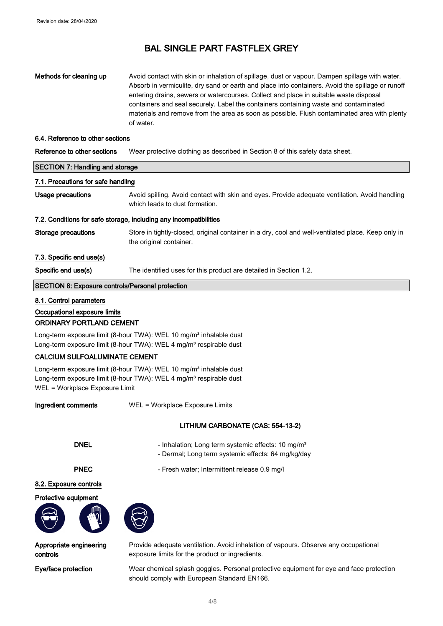## Methods for cleaning up Avoid contact with skin or inhalation of spillage, dust or vapour. Dampen spillage with water. Absorb in vermiculite, dry sand or earth and place into containers. Avoid the spillage or runoff entering drains, sewers or watercourses. Collect and place in suitable waste disposal containers and seal securely. Label the containers containing waste and contaminated materials and remove from the area as soon as possible. Flush contaminated area with plenty of water.

#### 6.4. Reference to other sections

| Reference to other sections | Wear protective clothing as described in Section 8 of this safety data sheet. |  |
|-----------------------------|-------------------------------------------------------------------------------|--|
|-----------------------------|-------------------------------------------------------------------------------|--|

| <b>SECTION 7: Handling and storage</b><br>7.1. Precautions for safe handling |                                                                                                                               |                   |
|------------------------------------------------------------------------------|-------------------------------------------------------------------------------------------------------------------------------|-------------------|
|                                                                              |                                                                                                                               | Usage precautions |
| 7.2. Conditions for safe storage, including any incompatibilities            |                                                                                                                               |                   |
| <b>Storage precautions</b>                                                   | Store in tightly-closed, original container in a dry, cool and well-ventilated place. Keep only in<br>the original container. |                   |
| 7.3. Specific end use(s)                                                     |                                                                                                                               |                   |
| Specific end use(s)                                                          | The identified uses for this product are detailed in Section 1.2.                                                             |                   |
| <b>SECTION 8: Exposure controls/Personal protection</b>                      |                                                                                                                               |                   |

#### 8.1. Control parameters

Occupational exposure limits

### ORDINARY PORTLAND CEMENT

Long-term exposure limit (8-hour TWA): WEL 10 mg/m<sup>3</sup> inhalable dust Long-term exposure limit (8-hour TWA): WEL 4 mg/m<sup>3</sup> respirable dust

### CALCIUM SULFOALUMINATE CEMENT

Long-term exposure limit (8-hour TWA): WEL 10 mg/m<sup>3</sup> inhalable dust Long-term exposure limit (8-hour TWA): WEL 4 mg/m<sup>3</sup> respirable dust WEL = Workplace Exposure Limit

Ingredient comments WEL = Workplace Exposure Limits

### LITHIUM CARBONATE (CAS: 554-13-2)

- DNEL Inhalation; Long term systemic effects: 10 mg/m<sup>3</sup>
	- Dermal; Long term systemic effects: 64 mg/kg/day

PNEC - Fresh water; Intermittent release 0.9 mg/l

#### 8.2. Exposure controls

#### Protective equipment



Appropriate engineering controls

Provide adequate ventilation. Avoid inhalation of vapours. Observe any occupational exposure limits for the product or ingredients.

Eye/face protection Wear chemical splash goggles. Personal protective equipment for eye and face protection should comply with European Standard EN166.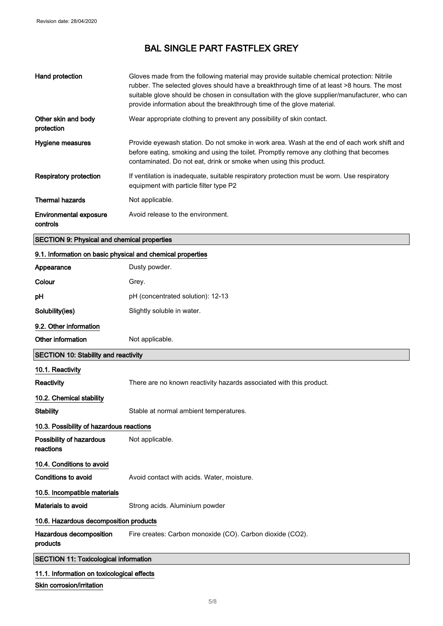| Hand protection                                    | Gloves made from the following material may provide suitable chemical protection: Nitrile<br>rubber. The selected gloves should have a breakthrough time of at least >8 hours. The most<br>suitable glove should be chosen in consultation with the glove supplier/manufacturer, who can<br>provide information about the breakthrough time of the glove material. |
|----------------------------------------------------|--------------------------------------------------------------------------------------------------------------------------------------------------------------------------------------------------------------------------------------------------------------------------------------------------------------------------------------------------------------------|
| Other skin and body<br>protection                  | Wear appropriate clothing to prevent any possibility of skin contact.                                                                                                                                                                                                                                                                                              |
| Hygiene measures                                   | Provide eyewash station. Do not smoke in work area. Wash at the end of each work shift and<br>before eating, smoking and using the toilet. Promptly remove any clothing that becomes<br>contaminated. Do not eat, drink or smoke when using this product.                                                                                                          |
| <b>Respiratory protection</b>                      | If ventilation is inadequate, suitable respiratory protection must be worn. Use respiratory<br>equipment with particle filter type P2                                                                                                                                                                                                                              |
| <b>Thermal hazards</b>                             | Not applicable.                                                                                                                                                                                                                                                                                                                                                    |
| <b>Environmental exposure</b><br>controls          | Avoid release to the environment.                                                                                                                                                                                                                                                                                                                                  |
| <b>SECTION 9: Physical and chemical properties</b> |                                                                                                                                                                                                                                                                                                                                                                    |

# 9.1. Information on basic physical and chemical properties

| Appearance                                   | Dusty powder.                                                       |
|----------------------------------------------|---------------------------------------------------------------------|
| Colour                                       | Grey.                                                               |
| pH                                           | pH (concentrated solution): 12-13                                   |
| Solubility(ies)                              | Slightly soluble in water.                                          |
| 9.2. Other information                       |                                                                     |
| Other information                            | Not applicable.                                                     |
| SECTION 10: Stability and reactivity         |                                                                     |
| 10.1. Reactivity                             |                                                                     |
| Reactivity                                   | There are no known reactivity hazards associated with this product. |
| 10.2. Chemical stability                     |                                                                     |
| <b>Stability</b>                             | Stable at normal ambient temperatures.                              |
| 10.3. Possibility of hazardous reactions     |                                                                     |
| Possibility of hazardous<br>reactions        | Not applicable.                                                     |
| 10.4. Conditions to avoid                    |                                                                     |
| Conditions to avoid                          | Avoid contact with acids. Water, moisture.                          |
| 10.5. Incompatible materials                 |                                                                     |
| <b>Materials to avoid</b>                    | Strong acids. Aluminium powder                                      |
| 10.6. Hazardous decomposition products       |                                                                     |
| Hazardous decomposition<br>products          | Fire creates: Carbon monoxide (CO). Carbon dioxide (CO2).           |
| <b>SECTION 11: Toxicological information</b> |                                                                     |
| 11.1. Information on toxicological effects   |                                                                     |
| Skin corrosion/irritation                    |                                                                     |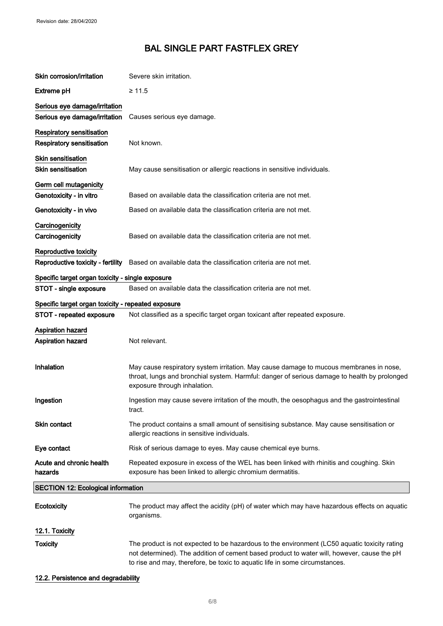| Skin corrosion/irritation                          | Severe skin irritation.                                                                                                                                                                                                                                                   |  |
|----------------------------------------------------|---------------------------------------------------------------------------------------------------------------------------------------------------------------------------------------------------------------------------------------------------------------------------|--|
| <b>Extreme pH</b>                                  | $\geq 11.5$                                                                                                                                                                                                                                                               |  |
| Serious eye damage/irritation                      |                                                                                                                                                                                                                                                                           |  |
| Serious eye damage/irritation                      | Causes serious eye damage.                                                                                                                                                                                                                                                |  |
| <b>Respiratory sensitisation</b>                   |                                                                                                                                                                                                                                                                           |  |
| <b>Respiratory sensitisation</b>                   | Not known.                                                                                                                                                                                                                                                                |  |
| Skin sensitisation                                 |                                                                                                                                                                                                                                                                           |  |
| <b>Skin sensitisation</b>                          | May cause sensitisation or allergic reactions in sensitive individuals.                                                                                                                                                                                                   |  |
| Germ cell mutagenicity                             |                                                                                                                                                                                                                                                                           |  |
| Genotoxicity - in vitro                            | Based on available data the classification criteria are not met.                                                                                                                                                                                                          |  |
| Genotoxicity - in vivo                             | Based on available data the classification criteria are not met.                                                                                                                                                                                                          |  |
| Carcinogenicity                                    |                                                                                                                                                                                                                                                                           |  |
| Carcinogenicity                                    | Based on available data the classification criteria are not met.                                                                                                                                                                                                          |  |
| Reproductive toxicity                              |                                                                                                                                                                                                                                                                           |  |
|                                                    | Reproductive toxicity - fertility Based on available data the classification criteria are not met.                                                                                                                                                                        |  |
| Specific target organ toxicity - single exposure   |                                                                                                                                                                                                                                                                           |  |
| STOT - single exposure                             | Based on available data the classification criteria are not met.                                                                                                                                                                                                          |  |
| Specific target organ toxicity - repeated exposure |                                                                                                                                                                                                                                                                           |  |
| STOT - repeated exposure                           | Not classified as a specific target organ toxicant after repeated exposure.                                                                                                                                                                                               |  |
| <b>Aspiration hazard</b>                           |                                                                                                                                                                                                                                                                           |  |
| <b>Aspiration hazard</b>                           | Not relevant.                                                                                                                                                                                                                                                             |  |
|                                                    |                                                                                                                                                                                                                                                                           |  |
| Inhalation                                         | May cause respiratory system irritation. May cause damage to mucous membranes in nose,<br>throat, lungs and bronchial system. Harmful: danger of serious damage to health by prolonged<br>exposure through inhalation.                                                    |  |
| Ingestion                                          | Ingestion may cause severe irritation of the mouth, the oesophagus and the gastrointestinal<br>tract.                                                                                                                                                                     |  |
| Skin contact                                       | The product contains a small amount of sensitising substance. May cause sensitisation or<br>allergic reactions in sensitive individuals.                                                                                                                                  |  |
| Eye contact                                        | Risk of serious damage to eyes. May cause chemical eye burns.                                                                                                                                                                                                             |  |
| Acute and chronic health<br>hazards                | Repeated exposure in excess of the WEL has been linked with rhinitis and coughing. Skin<br>exposure has been linked to allergic chromium dermatitis.                                                                                                                      |  |
| <b>SECTION 12: Ecological information</b>          |                                                                                                                                                                                                                                                                           |  |
| Ecotoxicity                                        | The product may affect the acidity (pH) of water which may have hazardous effects on aquatic<br>organisms.                                                                                                                                                                |  |
| 12.1. Toxicity                                     |                                                                                                                                                                                                                                                                           |  |
| <b>Toxicity</b>                                    | The product is not expected to be hazardous to the environment (LC50 aquatic toxicity rating<br>not determined). The addition of cement based product to water will, however, cause the pH<br>to rise and may, therefore, be toxic to aquatic life in some circumstances. |  |

# 12.2. Persistence and degradability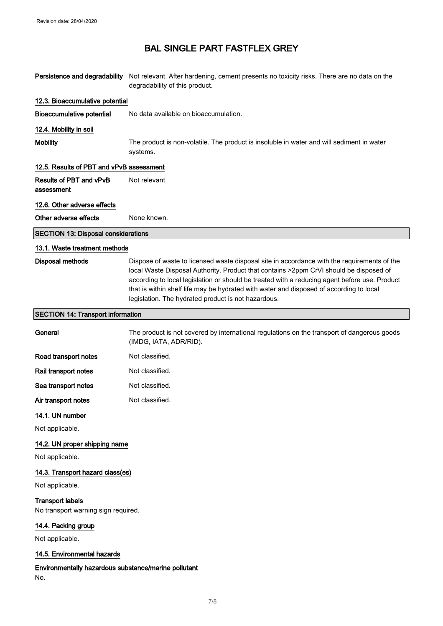| Persistence and degradability                                  | Not relevant. After hardening, cement presents no toxicity risks. There are no data on the<br>degradability of this product.                                                                                                                                                                                                                                                                                                             |
|----------------------------------------------------------------|------------------------------------------------------------------------------------------------------------------------------------------------------------------------------------------------------------------------------------------------------------------------------------------------------------------------------------------------------------------------------------------------------------------------------------------|
| 12.3. Bioaccumulative potential                                |                                                                                                                                                                                                                                                                                                                                                                                                                                          |
| <b>Bioaccumulative potential</b>                               | No data available on bioaccumulation.                                                                                                                                                                                                                                                                                                                                                                                                    |
| 12.4. Mobility in soil                                         |                                                                                                                                                                                                                                                                                                                                                                                                                                          |
| <b>Mobility</b>                                                | The product is non-volatile. The product is insoluble in water and will sediment in water<br>systems.                                                                                                                                                                                                                                                                                                                                    |
| 12.5. Results of PBT and vPvB assessment                       |                                                                                                                                                                                                                                                                                                                                                                                                                                          |
| Results of PBT and vPvB<br>assessment                          | Not relevant.                                                                                                                                                                                                                                                                                                                                                                                                                            |
| 12.6. Other adverse effects                                    |                                                                                                                                                                                                                                                                                                                                                                                                                                          |
| Other adverse effects                                          | None known.                                                                                                                                                                                                                                                                                                                                                                                                                              |
| <b>SECTION 13: Disposal considerations</b>                     |                                                                                                                                                                                                                                                                                                                                                                                                                                          |
| 13.1. Waste treatment methods                                  |                                                                                                                                                                                                                                                                                                                                                                                                                                          |
| <b>Disposal methods</b>                                        | Dispose of waste to licensed waste disposal site in accordance with the requirements of the<br>local Waste Disposal Authority. Product that contains >2ppm CrVI should be disposed of<br>according to local legislation or should be treated with a reducing agent before use. Product<br>that is within shelf life may be hydrated with water and disposed of according to local<br>legislation. The hydrated product is not hazardous. |
| <b>SECTION 14: Transport information</b>                       |                                                                                                                                                                                                                                                                                                                                                                                                                                          |
| General                                                        | The product is not covered by international regulations on the transport of dangerous goods<br>(IMDG, IATA, ADR/RID).                                                                                                                                                                                                                                                                                                                    |
| Road transport notes                                           | Not classified.                                                                                                                                                                                                                                                                                                                                                                                                                          |
| Rail transport notes                                           | Not classified.                                                                                                                                                                                                                                                                                                                                                                                                                          |
| Sea transport notes                                            | Not classified.                                                                                                                                                                                                                                                                                                                                                                                                                          |
| Air transport notes                                            | Not classified.                                                                                                                                                                                                                                                                                                                                                                                                                          |
| 14.1. UN number                                                |                                                                                                                                                                                                                                                                                                                                                                                                                                          |
| Not applicable.                                                |                                                                                                                                                                                                                                                                                                                                                                                                                                          |
| 14.2. UN proper shipping name                                  |                                                                                                                                                                                                                                                                                                                                                                                                                                          |
| Not applicable.                                                |                                                                                                                                                                                                                                                                                                                                                                                                                                          |
| 14.3. Transport hazard class(es)                               |                                                                                                                                                                                                                                                                                                                                                                                                                                          |
| Not applicable.                                                |                                                                                                                                                                                                                                                                                                                                                                                                                                          |
| <b>Transport labels</b><br>No transport warning sign required. |                                                                                                                                                                                                                                                                                                                                                                                                                                          |
| 14.4. Packing group                                            |                                                                                                                                                                                                                                                                                                                                                                                                                                          |
| Not applicable.                                                |                                                                                                                                                                                                                                                                                                                                                                                                                                          |
| 14.5. Environmental hazards                                    |                                                                                                                                                                                                                                                                                                                                                                                                                                          |
| Environmentally hazardous substance/marine pollutant<br>No.    |                                                                                                                                                                                                                                                                                                                                                                                                                                          |